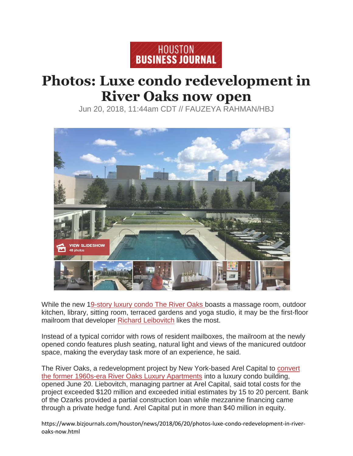

## **Photos: Luxe condo redevelopment in River Oaks now open**

Jun 20, 2018, 11:44am CDT // FAUZEYA RAHMAN/HBJ



While the new [19-story luxury condo The River Oaks b](https://www.bizjournals.com/houston/morning_call/2016/03/sneak-peek-inside-the-the-river-oaks-luxury-condo.html)oasts a massage room, outdoor kitchen, library, sitting room, terraced gardens and yoga studio, it may be the first-floor mailroom that developer [Richard Le](https://www.bizjournals.com/houston/search/results?q=Richard%20Liebovitch)ibovitch likes the most.

Instead of a typical corridor with rows of resident mailboxes, the mailroom at the newly opened condo features plush seating, natural light and views of the manicured outdoor space, making the everyday task more of an experience, he said.

The River Oaks, a redevelopment project by New York-based Arel Capital to [convert](http://www.bizjournals.com/houston/news/2015/06/18/sales-tostart-soon-for-luxury-condominium-project.html)  [the former 1960s-era River Oaks Luxury Apartments](http://www.bizjournals.com/houston/news/2015/06/18/sales-tostart-soon-for-luxury-condominium-project.html) into a luxury condo building, opened June 20. Liebovitch, managing partner at Arel Capital, said total costs for the project exceeded \$120 million and exceeded initial estimates by 15 to 20 percent. Bank of the Ozarks provided a partial construction loan while mezzanine financing came through a private hedge fund. Arel Capital put in more than \$40 million in equity.

https://www.bizjournals.com/houston/news/2018/06/20/photos-luxe-condo-redevelopment-in-riveroaks-now.html